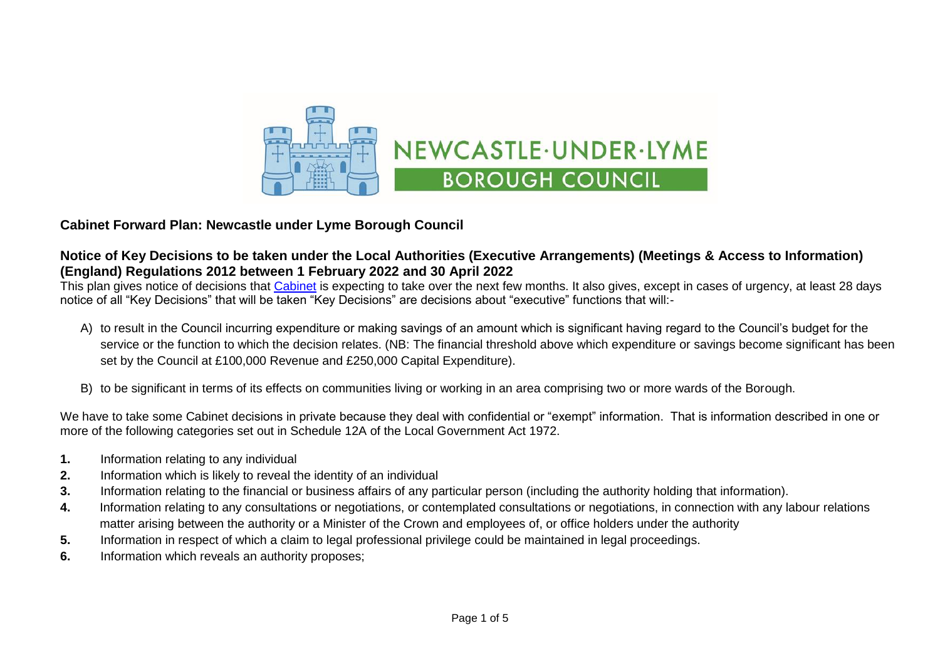

## **Cabinet Forward Plan: Newcastle under Lyme Borough Council**

## **Notice of Key Decisions to be taken under the Local Authorities (Executive Arrangements) (Meetings & Access to Information) (England) Regulations 2012 between 1 February 2022 and 30 April 2022**

This plan gives notice of decisions that [Cabinet](https://moderngov.newcastle-staffs.gov.uk/mgCommitteeDetails.aspx?ID=118) is expecting to take over the next few months. It also gives, except in cases of urgency, at least 28 davs notice of all "Key Decisions" that will be taken "Key Decisions" are decisions about "executive" functions that will:-

- A) to result in the Council incurring expenditure or making savings of an amount which is significant having regard to the Council's budget for the service or the function to which the decision relates. (NB: The financial threshold above which expenditure or savings become significant has been set by the Council at £100,000 Revenue and £250,000 Capital Expenditure).
- B) to be significant in terms of its effects on communities living or working in an area comprising two or more wards of the Borough.

We have to take some Cabinet decisions in private because they deal with confidential or "exempt" information. That is information described in one or more of the following categories set out in Schedule 12A of the Local Government Act 1972.

- **1.** Information relating to any individual
- **2.** Information which is likely to reveal the identity of an individual
- **3.** Information relating to the financial or business affairs of any particular person (including the authority holding that information).
- **4.** Information relating to any consultations or negotiations, or contemplated consultations or negotiations, in connection with any labour relations matter arising between the authority or a Minister of the Crown and employees of, or office holders under the authority
- **5.** Information in respect of which a claim to legal professional privilege could be maintained in legal proceedings.
- **6.** Information which reveals an authority proposes;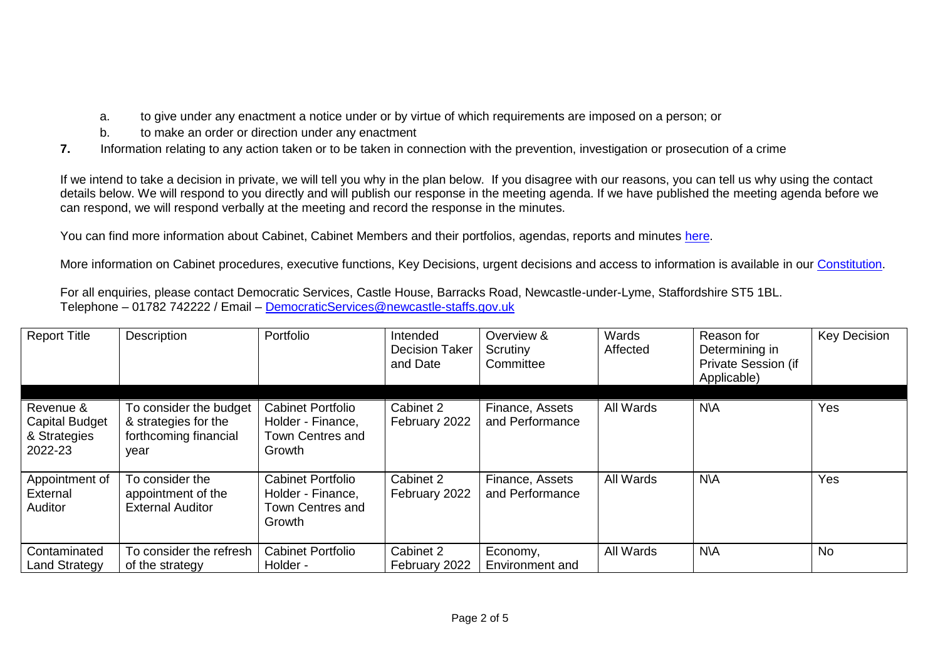- a. to give under any enactment a notice under or by virtue of which requirements are imposed on a person; or
- b. to make an order or direction under any enactment
- **7.** Information relating to any action taken or to be taken in connection with the prevention, investigation or prosecution of a crime

If we intend to take a decision in private, we will tell you why in the plan below. If you disagree with our reasons, you can tell us why using the contact details below. We will respond to you directly and will publish our response in the meeting agenda. If we have published the meeting agenda before we can respond, we will respond verbally at the meeting and record the response in the minutes.

You can find more information about Cabinet, Cabinet Members and their portfolios, agendas, reports and minutes [here.](https://moderngov.newcastle-staffs.gov.uk/mgCommitteeDetails.aspx?ID=118)

More information on Cabinet procedures, executive functions, Key Decisions, urgent decisions and access to information is available in our [Constitution.](https://moderngov.newcastle-staffs.gov.uk/ieListMeetings.aspx?CommitteeID=443&info=1&bcr=1)

For all enquiries, please contact Democratic Services, Castle House, Barracks Road, Newcastle-under-Lyme, Staffordshire ST5 1BL. Telephone – 01782 742222 / Email – [DemocraticServices@newcastle-staffs.gov.uk](mailto:DemocraticServices@newcastle-staffs.gov.uk)

| <b>Report Title</b>                                           | Description                                                                     | Portfolio                                                                   | Intended<br><b>Decision Taker</b><br>and Date | Overview &<br>Scrutiny<br>Committee | Wards<br>Affected | Reason for<br>Determining in<br>Private Session (if<br>Applicable) | <b>Key Decision</b> |
|---------------------------------------------------------------|---------------------------------------------------------------------------------|-----------------------------------------------------------------------------|-----------------------------------------------|-------------------------------------|-------------------|--------------------------------------------------------------------|---------------------|
| Revenue &<br><b>Capital Budget</b><br>& Strategies<br>2022-23 | To consider the budget<br>& strategies for the<br>forthcoming financial<br>vear | <b>Cabinet Portfolio</b><br>Holder - Finance,<br>Town Centres and<br>Growth | Cabinet 2<br>February 2022                    | Finance, Assets<br>and Performance  | All Wards         | <b>N\A</b>                                                         | Yes                 |
| Appointment of<br>External<br><b>Auditor</b>                  | To consider the<br>appointment of the<br><b>External Auditor</b>                | <b>Cabinet Portfolio</b><br>Holder - Finance,<br>Town Centres and<br>Growth | Cabinet 2<br>February 2022                    | Finance, Assets<br>and Performance  | All Wards         | <b>N\A</b>                                                         | Yes                 |
| Contaminated<br><b>Land Strategy</b>                          | To consider the refresh<br>of the strategy                                      | <b>Cabinet Portfolio</b><br>Holder -                                        | Cabinet 2<br>February 2022                    | Economy,<br>Environment and         | All Wards         | N\A                                                                | <b>No</b>           |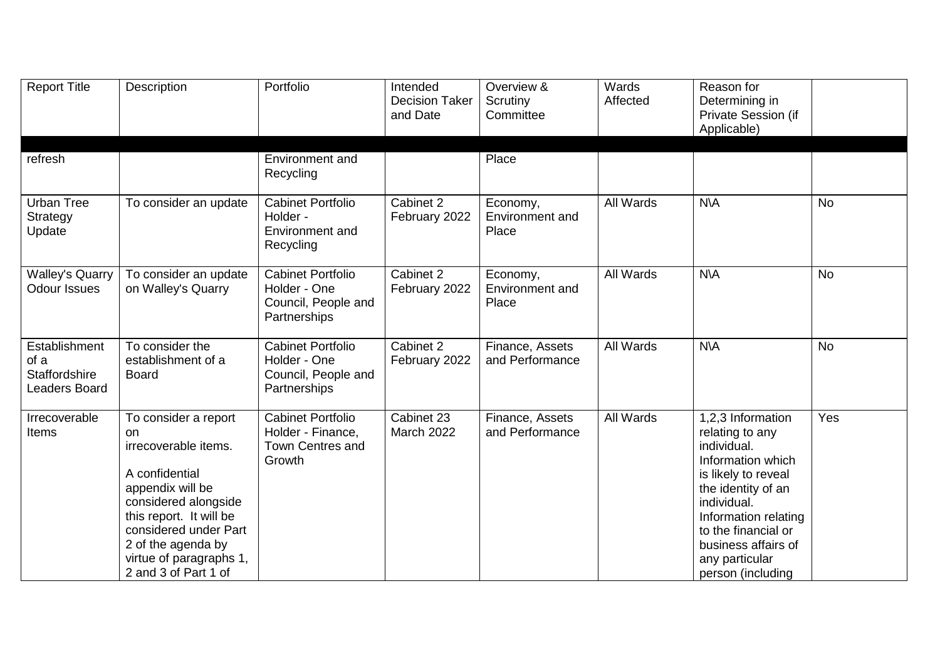| <b>Report Title</b>                                            | Description                                                                                                                                                                                                                                   | Portfolio                                                                       | Intended<br><b>Decision Taker</b><br>and Date | Overview &<br>Scrutiny<br>Committee  | Wards<br>Affected | Reason for<br>Determining in<br>Private Session (if<br>Applicable)                                                                                                                                                                                |           |
|----------------------------------------------------------------|-----------------------------------------------------------------------------------------------------------------------------------------------------------------------------------------------------------------------------------------------|---------------------------------------------------------------------------------|-----------------------------------------------|--------------------------------------|-------------------|---------------------------------------------------------------------------------------------------------------------------------------------------------------------------------------------------------------------------------------------------|-----------|
| refresh                                                        |                                                                                                                                                                                                                                               | Environment and<br>Recycling                                                    |                                               | Place                                |                   |                                                                                                                                                                                                                                                   |           |
| Urban Tree<br>Strategy<br>Update                               | To consider an update                                                                                                                                                                                                                         | <b>Cabinet Portfolio</b><br>Holder -<br><b>Environment and</b><br>Recycling     | Cabinet 2<br>February 2022                    | Economy,<br>Environment and<br>Place | <b>All Wards</b>  | N/A                                                                                                                                                                                                                                               | <b>No</b> |
| <b>Walley's Quarry</b><br><b>Odour Issues</b>                  | To consider an update<br>on Walley's Quarry                                                                                                                                                                                                   | <b>Cabinet Portfolio</b><br>Holder - One<br>Council, People and<br>Partnerships | Cabinet 2<br>February 2022                    | Economy,<br>Environment and<br>Place | All Wards         | <b>N\A</b>                                                                                                                                                                                                                                        | <b>No</b> |
| Establishment<br>of a<br><b>Staffordshire</b><br>Leaders Board | To consider the<br>establishment of a<br><b>Board</b>                                                                                                                                                                                         | <b>Cabinet Portfolio</b><br>Holder - One<br>Council, People and<br>Partnerships | Cabinet 2<br>February 2022                    | Finance, Assets<br>and Performance   | All Wards         | <b>N\A</b>                                                                                                                                                                                                                                        | <b>No</b> |
| Irrecoverable<br><b>Items</b>                                  | To consider a report<br>on<br>irrecoverable items.<br>A confidential<br>appendix will be<br>considered alongside<br>this report. It will be<br>considered under Part<br>2 of the agenda by<br>virtue of paragraphs 1,<br>2 and 3 of Part 1 of | <b>Cabinet Portfolio</b><br>Holder - Finance,<br>Town Centres and<br>Growth     | Cabinet 23<br><b>March 2022</b>               | Finance, Assets<br>and Performance   | All Wards         | 1,2,3 Information<br>relating to any<br>individual.<br>Information which<br>is likely to reveal<br>the identity of an<br>individual.<br>Information relating<br>to the financial or<br>business affairs of<br>any particular<br>person (including | Yes       |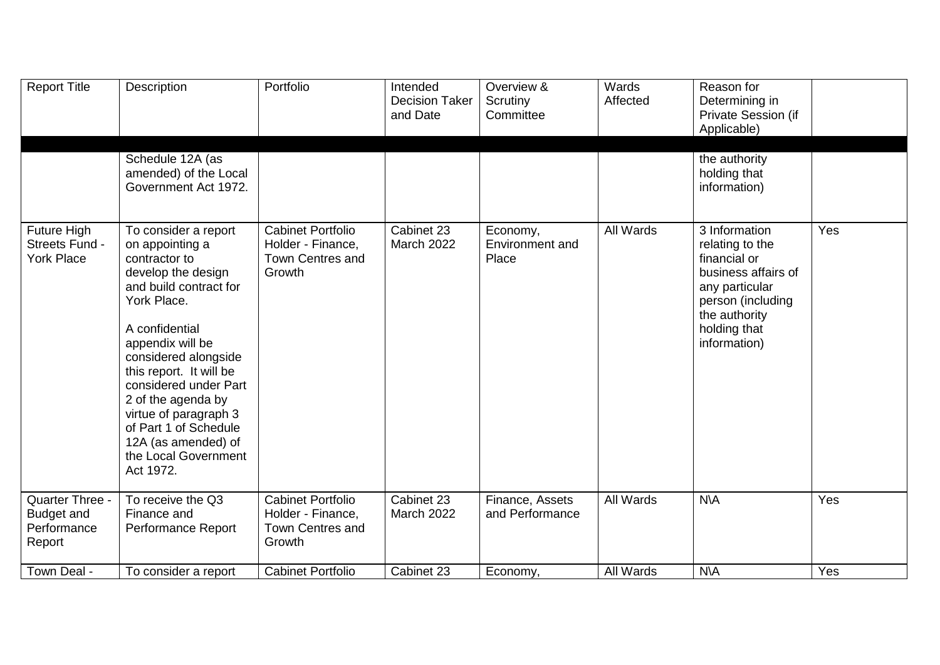| <b>Report Title</b>                                    | Description                                                                                                                                                                                                                                                                                                                                                                   | Portfolio                                                                   | Intended<br><b>Decision Taker</b><br>and Date | Overview &<br>Scrutiny<br>Committee  | Wards<br>Affected | Reason for<br>Determining in<br>Private Session (if<br>Applicable)                                                                                              |     |
|--------------------------------------------------------|-------------------------------------------------------------------------------------------------------------------------------------------------------------------------------------------------------------------------------------------------------------------------------------------------------------------------------------------------------------------------------|-----------------------------------------------------------------------------|-----------------------------------------------|--------------------------------------|-------------------|-----------------------------------------------------------------------------------------------------------------------------------------------------------------|-----|
|                                                        | Schedule 12A (as<br>amended) of the Local<br>Government Act 1972.                                                                                                                                                                                                                                                                                                             |                                                                             |                                               |                                      |                   | the authority<br>holding that<br>information)                                                                                                                   |     |
| Future High<br>Streets Fund -<br><b>York Place</b>     | To consider a report<br>on appointing a<br>contractor to<br>develop the design<br>and build contract for<br>York Place.<br>A confidential<br>appendix will be<br>considered alongside<br>this report. It will be<br>considered under Part<br>2 of the agenda by<br>virtue of paragraph 3<br>of Part 1 of Schedule<br>12A (as amended) of<br>the Local Government<br>Act 1972. | <b>Cabinet Portfolio</b><br>Holder - Finance,<br>Town Centres and<br>Growth | Cabinet 23<br><b>March 2022</b>               | Economy,<br>Environment and<br>Place | All Wards         | 3 Information<br>relating to the<br>financial or<br>business affairs of<br>any particular<br>person (including<br>the authority<br>holding that<br>information) | Yes |
| Quarter Three -<br>Budget and<br>Performance<br>Report | To receive the Q3<br>Finance and<br>Performance Report                                                                                                                                                                                                                                                                                                                        | <b>Cabinet Portfolio</b><br>Holder - Finance,<br>Town Centres and<br>Growth | Cabinet 23<br><b>March 2022</b>               | Finance, Assets<br>and Performance   | All Wards         | <b>N\A</b>                                                                                                                                                      | Yes |
| Town Deal -                                            | To consider a report                                                                                                                                                                                                                                                                                                                                                          | <b>Cabinet Portfolio</b>                                                    | Cabinet 23                                    | Economy,                             | <b>All Wards</b>  | <b>N\A</b>                                                                                                                                                      | Yes |